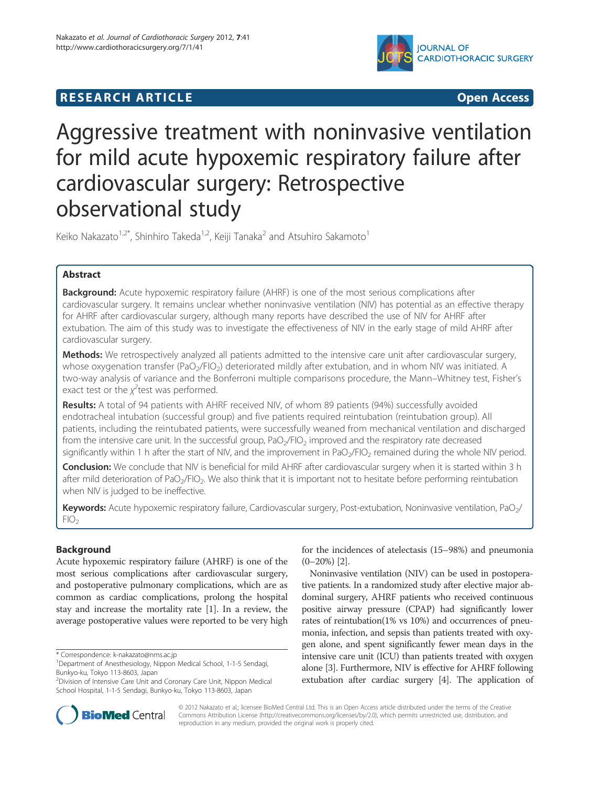# **RESEARCH ARTICLE Example 2018 12:00 DEA RESEARCH ARTICLE**



# Aggressive treatment with noninvasive ventilation for mild acute hypoxemic respiratory failure after cardiovascular surgery: Retrospective observational study

Keiko Nakazato<sup>1,2\*</sup>, Shinhiro Takeda<sup>1,2</sup>, Keiji Tanaka<sup>2</sup> and Atsuhiro Sakamoto<sup>1</sup>

# Abstract

**Background:** Acute hypoxemic respiratory failure (AHRF) is one of the most serious complications after cardiovascular surgery. It remains unclear whether noninvasive ventilation (NIV) has potential as an effective therapy for AHRF after cardiovascular surgery, although many reports have described the use of NIV for AHRF after extubation. The aim of this study was to investigate the effectiveness of NIV in the early stage of mild AHRF after cardiovascular surgery.

Methods: We retrospectively analyzed all patients admitted to the intensive care unit after cardiovascular surgery, whose oxygenation transfer (PaO<sub>2</sub>/FIO<sub>2</sub>) deteriorated mildly after extubation, and in whom NIV was initiated. A two-way analysis of variance and the Bonferroni multiple comparisons procedure, the Mann–Whitney test, Fisher's exact test or the  $\chi^2$ test was performed.

Results: A total of 94 patients with AHRF received NIV, of whom 89 patients (94%) successfully avoided endotracheal intubation (successful group) and five patients required reintubation (reintubation group). All patients, including the reintubated patients, were successfully weaned from mechanical ventilation and discharged from the intensive care unit. In the successful group,  $PaO<sub>2</sub>/FIO<sub>2</sub>$  improved and the respiratory rate decreased significantly within 1 h after the start of NIV, and the improvement in PaO<sub>2</sub>/FIO<sub>2</sub> remained during the whole NIV period.

Conclusion: We conclude that NIV is beneficial for mild AHRF after cardiovascular surgery when it is started within 3 h after mild deterioration of PaO<sub>2</sub>/FIO<sub>2</sub>. We also think that it is important not to hesitate before performing reintubation when NIV is judged to be ineffective.

Keywords: Acute hypoxemic respiratory failure, Cardiovascular surgery, Post-extubation, Noninvasive ventilation, PaO<sub>2</sub>/  $FIO<sub>2</sub>$ 

# Background

Acute hypoxemic respiratory failure (AHRF) is one of the most serious complications after cardiovascular surgery, and postoperative pulmonary complications, which are as common as cardiac complications, prolong the hospital stay and increase the mortality rate [1]. In a review, the average postoperative values were reported to be very high

\* Correspondence: k-nakazato@nms.ac.jp

for the incidences of atelectasis (15–98%) and pneumonia  $(0-20\%)$  [2].

Noninvasive ventilation (NIV) can be used in postoperative patients. In a randomized study after elective major abdominal surgery, AHRF patients who received continuous positive airway pressure (CPAP) had significantly lower rates of reintubation(1% vs 10%) and occurrences of pneumonia, infection, and sepsis than patients treated with oxygen alone, and spent significantly fewer mean days in the intensive care unit (ICU) than patients treated with oxygen alone [3]. Furthermore, NIV is effective for AHRF following extubation after cardiac surgery [4]. The application of



© 2012 Nakazato et al.; licensee BioMed Central Ltd. This is an Open Access article distributed under the terms of the Creative Commons Attribution License (http://creativecommons.org/licenses/by/2.0), which permits unrestricted use, distribution, and reproduction in any medium, provided the original work is properly cited.

<sup>&</sup>lt;sup>1</sup>Department of Anesthesiology, Nippon Medical School, 1-1-5 Sendagi, Bunkyo-ku, Tokyo 113-8603, Japan

<sup>2</sup> Division of Intensive Care Unit and Coronary Care Unit, Nippon Medical School Hospital, 1-1-5 Sendagi, Bunkyo-ku, Tokyo 113-8603, Japan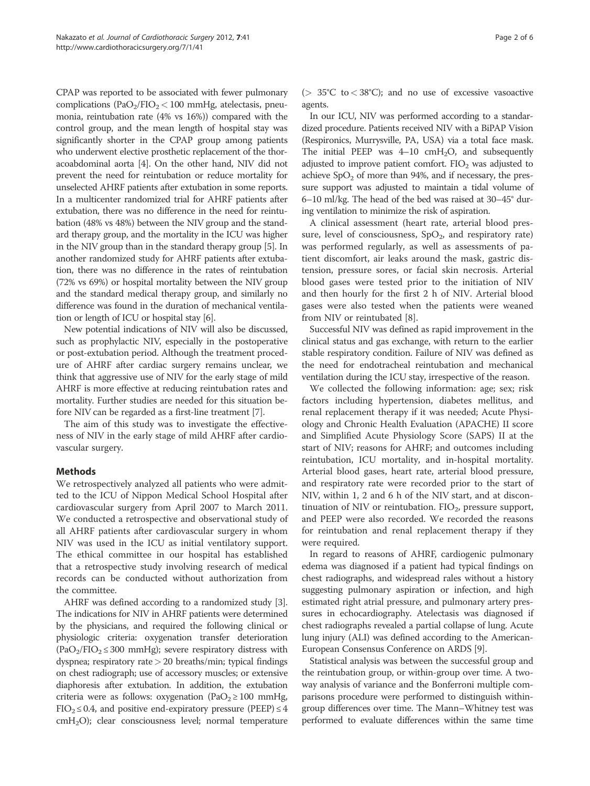CPAP was reported to be associated with fewer pulmonary complications (PaO<sub>2</sub>/FIO<sub>2</sub> < 100 mmHg, atelectasis, pneumonia, reintubation rate (4% vs 16%)) compared with the control group, and the mean length of hospital stay was significantly shorter in the CPAP group among patients who underwent elective prosthetic replacement of the thoracoabdominal aorta [4]. On the other hand, NIV did not prevent the need for reintubation or reduce mortality for unselected AHRF patients after extubation in some reports. In a multicenter randomized trial for AHRF patients after extubation, there was no difference in the need for reintubation (48% vs 48%) between the NIV group and the standard therapy group, and the mortality in the ICU was higher in the NIV group than in the standard therapy group [5]. In another randomized study for AHRF patients after extubation, there was no difference in the rates of reintubation (72% vs 69%) or hospital mortality between the NIV group and the standard medical therapy group, and similarly no difference was found in the duration of mechanical ventilation or length of ICU or hospital stay [6].

New potential indications of NIV will also be discussed, such as prophylactic NIV, especially in the postoperative or post-extubation period. Although the treatment procedure of AHRF after cardiac surgery remains unclear, we think that aggressive use of NIV for the early stage of mild AHRF is more effective at reducing reintubation rates and mortality. Further studies are needed for this situation before NIV can be regarded as a first-line treatment [7].

The aim of this study was to investigate the effectiveness of NIV in the early stage of mild AHRF after cardiovascular surgery.

# Methods

We retrospectively analyzed all patients who were admitted to the ICU of Nippon Medical School Hospital after cardiovascular surgery from April 2007 to March 2011. We conducted a retrospective and observational study of all AHRF patients after cardiovascular surgery in whom NIV was used in the ICU as initial ventilatory support. The ethical committee in our hospital has established that a retrospective study involving research of medical records can be conducted without authorization from the committee.

AHRF was defined according to a randomized study [3]. The indications for NIV in AHRF patients were determined by the physicians, and required the following clinical or physiologic criteria: oxygenation transfer deterioration  $(PaO<sub>2</sub>/FIO<sub>2</sub> \le 300 mmHg)$ ; severe respiratory distress with dyspnea; respiratory rate> 20 breaths/min; typical findings on chest radiograph; use of accessory muscles; or extensive diaphoresis after extubation. In addition, the extubation criteria were as follows: oxygenation (PaO<sub>2</sub> ≥ 100 mmHg,  $FIO<sub>2</sub> \le 0.4$ , and positive end-expiratory pressure (PEEP)  $\le 4$ cmH2O); clear consciousness level; normal temperature

( $> 35^{\circ}$ C to  $< 38^{\circ}$ C); and no use of excessive vasoactive agents.

In our ICU, NIV was performed according to a standardized procedure. Patients received NIV with a BiPAP Vision (Respironics, Murrysville, PA, USA) via a total face mask. The initial PEEP was  $4-10$  cmH<sub>2</sub>O, and subsequently adjusted to improve patient comfort.  $FIO<sub>2</sub>$  was adjusted to achieve  $SpO<sub>2</sub>$  of more than 94%, and if necessary, the pressure support was adjusted to maintain a tidal volume of 6–10 ml/kg. The head of the bed was raised at 30–45° during ventilation to minimize the risk of aspiration.

A clinical assessment (heart rate, arterial blood pressure, level of consciousness,  $SpO<sub>2</sub>$ , and respiratory rate) was performed regularly, as well as assessments of patient discomfort, air leaks around the mask, gastric distension, pressure sores, or facial skin necrosis. Arterial blood gases were tested prior to the initiation of NIV and then hourly for the first 2 h of NIV. Arterial blood gases were also tested when the patients were weaned from NIV or reintubated [8].

Successful NIV was defined as rapid improvement in the clinical status and gas exchange, with return to the earlier stable respiratory condition. Failure of NIV was defined as the need for endotracheal reintubation and mechanical ventilation during the ICU stay, irrespective of the reason.

We collected the following information: age; sex; risk factors including hypertension, diabetes mellitus, and renal replacement therapy if it was needed; Acute Physiology and Chronic Health Evaluation (APACHE) II score and Simplified Acute Physiology Score (SAPS) II at the start of NIV; reasons for AHRF; and outcomes including reintubation, ICU mortality, and in-hospital mortality. Arterial blood gases, heart rate, arterial blood pressure, and respiratory rate were recorded prior to the start of NIV, within 1, 2 and 6 h of the NIV start, and at discontinuation of NIV or reintubation.  $FIO<sub>2</sub>$ , pressure support, and PEEP were also recorded. We recorded the reasons for reintubation and renal replacement therapy if they were required.

In regard to reasons of AHRF, cardiogenic pulmonary edema was diagnosed if a patient had typical findings on chest radiographs, and widespread rales without a history suggesting pulmonary aspiration or infection, and high estimated right atrial pressure, and pulmonary artery pressures in echocardiography. Atelectasis was diagnosed if chest radiographs revealed a partial collapse of lung. Acute lung injury (ALI) was defined according to the American-European Consensus Conference on ARDS [9].

Statistical analysis was between the successful group and the reintubation group, or within-group over time. A twoway analysis of variance and the Bonferroni multiple comparisons procedure were performed to distinguish withingroup differences over time. The Mann–Whitney test was performed to evaluate differences within the same time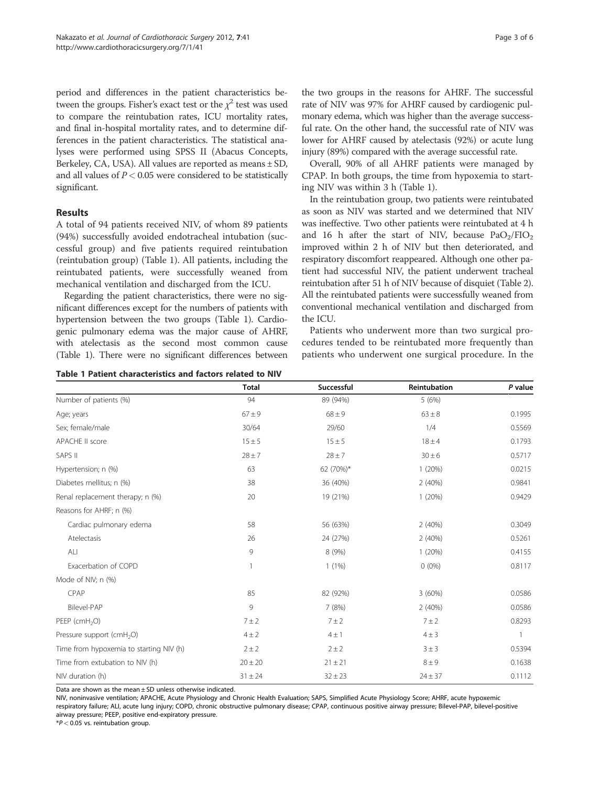period and differences in the patient characteristics between the groups. Fisher's exact test or the  $\chi^2$  test was used to compare the reintubation rates, ICU mortality rates, and final in-hospital mortality rates, and to determine differences in the patient characteristics. The statistical analyses were performed using SPSS II (Abacus Concepts, Berkeley, CA, USA). All values are reported as means ± SD, and all values of  $P < 0.05$  were considered to be statistically significant.

# Results

A total of 94 patients received NIV, of whom 89 patients (94%) successfully avoided endotracheal intubation (successful group) and five patients required reintubation (reintubation group) (Table 1). All patients, including the reintubated patients, were successfully weaned from mechanical ventilation and discharged from the ICU.

Regarding the patient characteristics, there were no significant differences except for the numbers of patients with hypertension between the two groups (Table 1). Cardiogenic pulmonary edema was the major cause of AHRF, with atelectasis as the second most common cause (Table 1). There were no significant differences between

Table 1 Patient characteristics and factors related to NIV

the two groups in the reasons for AHRF. The successful rate of NIV was 97% for AHRF caused by cardiogenic pulmonary edema, which was higher than the average successful rate. On the other hand, the successful rate of NIV was lower for AHRF caused by atelectasis (92%) or acute lung injury (89%) compared with the average successful rate.

Overall, 90% of all AHRF patients were managed by CPAP. In both groups, the time from hypoxemia to starting NIV was within 3 h (Table 1).

In the reintubation group, two patients were reintubated as soon as NIV was started and we determined that NIV was ineffective. Two other patients were reintubated at 4 h and 16 h after the start of NIV, because  $PaO<sub>2</sub>/FIO<sub>2</sub>$ improved within 2 h of NIV but then deteriorated, and respiratory discomfort reappeared. Although one other patient had successful NIV, the patient underwent tracheal reintubation after 51 h of NIV because of disquiet (Table 2). All the reintubated patients were successfully weaned from conventional mechanical ventilation and discharged from the ICU.

Patients who underwent more than two surgical procedures tended to be reintubated more frequently than patients who underwent one surgical procedure. In the

|                                         | <b>Total</b> | Successful  | Reintubation | P value |
|-----------------------------------------|--------------|-------------|--------------|---------|
| Number of patients (%)                  | 94           | 89 (94%)    | 5(6%)        |         |
| Age; years                              | $67 \pm 9$   | $68 \pm 9$  | $63 \pm 8$   | 0.1995  |
| Sex; female/male                        | 30/64        | 29/60       | 1/4          | 0.5569  |
| APACHE II score                         | $15 \pm 5$   | $15 \pm 5$  | $18 + 4$     | 0.1793  |
| SAPS II                                 | $28 \pm 7$   | $28 \pm 7$  | $30 \pm 6$   | 0.5717  |
| Hypertension; n (%)                     | 63           | 62 (70%)*   | 1(20%)       | 0.0215  |
| Diabetes mellitus; n (%)                | 38           | 36 (40%)    | 2 (40%)      | 0.9841  |
| Renal replacement therapy; n (%)        | 20           | 19 (21%)    | 1(20%)       | 0.9429  |
| Reasons for AHRF; n (%)                 |              |             |              |         |
| Cardiac pulmonary edema                 | 58           | 56 (63%)    | 2(40%)       | 0.3049  |
| Atelectasis                             | 26           | 24 (27%)    | 2(40%)       | 0.5261  |
| ALI                                     | 9            | 8 (9%)      | 1(20%)       | 0.4155  |
| Exacerbation of COPD                    | 1            | $1(1\%)$    | $0(0\%)$     | 0.8117  |
| Mode of NIV; n (%)                      |              |             |              |         |
| CPAP                                    | 85           | 82 (92%)    | 3(60%)       | 0.0586  |
| Bilevel-PAP                             | 9            | 7(8%)       | 2 (40%)      | 0.0586  |
| PEEP (cmH <sub>2</sub> O)               | 7 ± 2        | 7 ± 2       | 7 ± 2        | 0.8293  |
| Pressure support (cmH <sub>2</sub> O)   | $4 \pm 2$    | $4 \pm 1$   | $4 \pm 3$    |         |
| Time from hypoxemia to starting NIV (h) | $2 \pm 2$    | $2 \pm 2$   | $3 \pm 3$    | 0.5394  |
| Time from extubation to NIV (h)         | $20 \pm 20$  | $21 \pm 21$ | $8 \pm 9$    | 0.1638  |
| NIV duration (h)                        | $31 \pm 24$  | $32 \pm 23$ | $24 \pm 37$  | 0.1112  |

Data are shown as the mean  $\pm$  SD unless otherwise indicated.

NIV, noninvasive ventilation; APACHE, Acute Physiology and Chronic Health Evaluation; SAPS, Simplified Acute Physiology Score; AHRF, acute hypoxemic

respiratory failure; ALI, acute lung injury; COPD, chronic obstructive pulmonary disease; CPAP, continuous positive airway pressure; Bilevel-PAP, bilevel-positive airway pressure; PEEP, positive end-expiratory pressure.

 $*P < 0.05$  vs. reintubation group.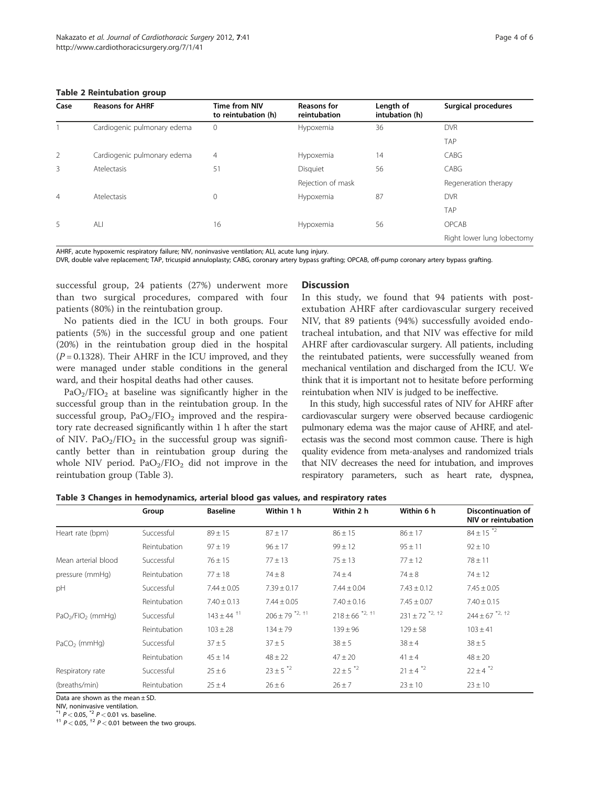### Table 2 Reintubation group

|      | -                           |                                             |                                    |                             |                            |
|------|-----------------------------|---------------------------------------------|------------------------------------|-----------------------------|----------------------------|
| Case | <b>Reasons for AHRF</b>     | <b>Time from NIV</b><br>to reintubation (h) | <b>Reasons for</b><br>reintubation | Length of<br>intubation (h) | Surgical procedures        |
|      | Cardiogenic pulmonary edema | 0                                           | Hypoxemia                          | 36                          | <b>DVR</b>                 |
|      |                             |                                             |                                    |                             | TAP                        |
| 2    | Cardiogenic pulmonary edema | $\overline{4}$                              | Hypoxemia                          | 14                          | CABG                       |
| 3    | Atelectasis                 | 51                                          | Disquiet                           | 56                          | CABG                       |
|      |                             |                                             | Rejection of mask                  |                             | Regeneration therapy       |
| 4    | Atelectasis                 | 0                                           | Hypoxemia                          | 87                          | <b>DVR</b>                 |
|      |                             |                                             |                                    |                             | TAP                        |
| .5   | ALI                         | 16                                          | Hypoxemia                          | 56                          | <b>OPCAB</b>               |
|      |                             |                                             |                                    |                             | Right lower lung lobectomy |

AHRF, acute hypoxemic respiratory failure; NIV, noninvasive ventilation; ALI, acute lung injury.

DVR, double valve replacement; TAP, tricuspid annuloplasty; CABG, coronary artery bypass grafting; OPCAB, off-pump coronary artery bypass grafting.

successful group, 24 patients (27%) underwent more than two surgical procedures, compared with four patients (80%) in the reintubation group.

No patients died in the ICU in both groups. Four patients (5%) in the successful group and one patient (20%) in the reintubation group died in the hospital  $(P = 0.1328)$ . Their AHRF in the ICU improved, and they were managed under stable conditions in the general ward, and their hospital deaths had other causes.

 $PaO<sub>2</sub>/FIO<sub>2</sub>$  at baseline was significantly higher in the successful group than in the reintubation group. In the successful group,  $PaO<sub>2</sub>/FIO<sub>2</sub>$  improved and the respiratory rate decreased significantly within 1 h after the start of NIV.  $PaO<sub>2</sub>/FIO<sub>2</sub>$  in the successful group was significantly better than in reintubation group during the whole NIV period.  $PaO<sub>2</sub>/FIO<sub>2</sub>$  did not improve in the reintubation group (Table 3).

#### **Discussion**

In this study, we found that 94 patients with postextubation AHRF after cardiovascular surgery received NIV, that 89 patients (94%) successfully avoided endotracheal intubation, and that NIV was effective for mild AHRF after cardiovascular surgery. All patients, including the reintubated patients, were successfully weaned from mechanical ventilation and discharged from the ICU. We think that it is important not to hesitate before performing reintubation when NIV is judged to be ineffective.

In this study, high successful rates of NIV for AHRF after cardiovascular surgery were observed because cardiogenic pulmonary edema was the major cause of AHRF, and atelectasis was the second most common cause. There is high quality evidence from meta-analyses and randomized trials that NIV decreases the need for intubation, and improves respiratory parameters, such as heart rate, dyspnea,

| Table 3 Changes in hemodynamics, arterial blood gas values, and respiratory rates |  |
|-----------------------------------------------------------------------------------|--|
|-----------------------------------------------------------------------------------|--|

|                     | Group        | <b>Baseline</b>            | Within 1 h                     | Within 2 h               | Within 6 h                     | <b>Discontinuation of</b><br>NIV or reintubation |
|---------------------|--------------|----------------------------|--------------------------------|--------------------------|--------------------------------|--------------------------------------------------|
| Heart rate (bpm)    | Successful   | $89 \pm 15$                | $87 \pm 17$                    | $86 \pm 15$              | $86 \pm 17$                    | $84 \pm 15$ $*2$                                 |
|                     | Reintubation | $97 \pm 19$                | $96 \pm 17$                    | $99 \pm 12$              | $95 \pm 11$                    | $92 \pm 10$                                      |
| Mean arterial blood | Successful   | $76 \pm 15$                | $77 \pm 13$                    | $75 \pm 13$              | $77 \pm 12$                    | $78 \pm 11$                                      |
| pressure (mmHg)     | Reintubation | $77 \pm 18$                | $74 \pm 8$                     | $74 \pm 4$               | $74\pm8$                       | $74 \pm 12$                                      |
| pH                  | Successful   | $7.44 \pm 0.05$            | $7.39 \pm 0.17$                | $7.44 \pm 0.04$          | $7.43 \pm 0.12$                | $7.45 \pm 0.05$                                  |
|                     | Reintubation | $7.40 \pm 0.13$            | $7.44 \pm 0.05$                | $7.40 \pm 0.16$          | $7.45 \pm 0.07$                | $7.40 \pm 0.15$                                  |
| $PaO2/FIO2$ (mmHg)  | Successful   | $143 \pm 44$ <sup>+1</sup> | $206 \pm 79$ <sup>*2, †1</sup> | $218 \pm 66$ $^{*2, +1}$ | $231 \pm 72$ <sup>*2, †2</sup> | $244 \pm 67$ <sup>*2, †2</sup>                   |
|                     | Reintubation | $103 \pm 28$               | $134 \pm 79$                   | $139 \pm 96$             | $129 \pm 58$                   | $103 \pm 41$                                     |
| $PaCO2$ (mmHg)      | Successful   | $37 + 5$                   | $37 + 5$                       | $38 \pm 5$               | $38 \pm 4$                     | $38 + 5$                                         |
|                     | Reintubation | $45 \pm 14$                | $48 \pm 22$                    | $47 \pm 20$              | $41 \pm 4$                     | $48 \pm 20$                                      |
| Respiratory rate    | Successful   | $25 \pm 6$                 | $23 \pm 5$ <sup>*2</sup>       | $22 \pm 5$ <sup>*2</sup> | $21 \pm 4^{*2}$                | $22 \pm 4^{*2}$                                  |
| (breaths/min)       | Reintubation | $25 \pm 4$                 | $26 \pm 6$                     | $26 \pm 7$               | $23 \pm 10$                    | $23 \pm 10$                                      |

Data are shown as the mean  $\pm$  SD.

NIV, noninvasive ventilation.<br>\*1  $P < 0.05$ , \*2  $P < 0.01$  vs. baseline.

<sup>†1</sup>  $P < 0.05$ , <sup>†2</sup>  $P < 0.01$  between the two groups.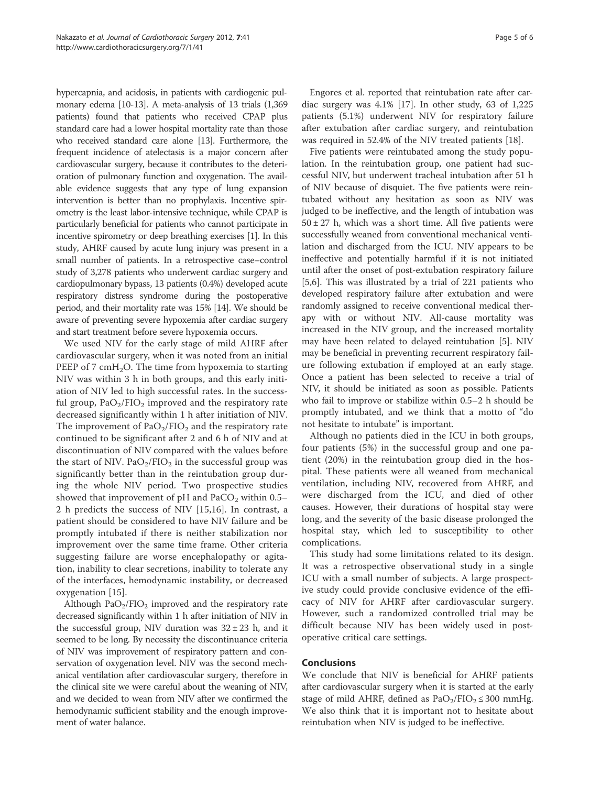hypercapnia, and acidosis, in patients with cardiogenic pulmonary edema [10-13]. A meta-analysis of 13 trials (1,369 patients) found that patients who received CPAP plus standard care had a lower hospital mortality rate than those who received standard care alone [13]. Furthermore, the frequent incidence of atelectasis is a major concern after cardiovascular surgery, because it contributes to the deterioration of pulmonary function and oxygenation. The available evidence suggests that any type of lung expansion intervention is better than no prophylaxis. Incentive spirometry is the least labor-intensive technique, while CPAP is particularly beneficial for patients who cannot participate in incentive spirometry or deep breathing exercises [1]. In this study, AHRF caused by acute lung injury was present in a small number of patients. In a retrospective case–control study of 3,278 patients who underwent cardiac surgery and cardiopulmonary bypass, 13 patients (0.4%) developed acute respiratory distress syndrome during the postoperative period, and their mortality rate was 15% [14]. We should be aware of preventing severe hypoxemia after cardiac surgery and start treatment before severe hypoxemia occurs.

We used NIV for the early stage of mild AHRF after cardiovascular surgery, when it was noted from an initial PEEP of 7 cmH<sub>2</sub>O. The time from hypoxemia to starting NIV was within 3 h in both groups, and this early initiation of NIV led to high successful rates. In the successful group,  $PaO<sub>2</sub>/FIO<sub>2</sub>$  improved and the respiratory rate decreased significantly within 1 h after initiation of NIV. The improvement of  $PaO<sub>2</sub>/FIO<sub>2</sub>$  and the respiratory rate continued to be significant after 2 and 6 h of NIV and at discontinuation of NIV compared with the values before the start of NIV.  $PaO<sub>2</sub>/FIO<sub>2</sub>$  in the successful group was significantly better than in the reintubation group during the whole NIV period. Two prospective studies showed that improvement of pH and  $PaCO<sub>2</sub>$  within 0.5– 2 h predicts the success of NIV [15,16]. In contrast, a patient should be considered to have NIV failure and be promptly intubated if there is neither stabilization nor improvement over the same time frame. Other criteria suggesting failure are worse encephalopathy or agitation, inability to clear secretions, inability to tolerate any of the interfaces, hemodynamic instability, or decreased oxygenation [15].

Although  $PaO<sub>2</sub>/FIO<sub>2</sub>$  improved and the respiratory rate decreased significantly within 1 h after initiation of NIV in the successful group, NIV duration was  $32 \pm 23$  h, and it seemed to be long. By necessity the discontinuance criteria of NIV was improvement of respiratory pattern and conservation of oxygenation level. NIV was the second mechanical ventilation after cardiovascular surgery, therefore in the clinical site we were careful about the weaning of NIV, and we decided to wean from NIV after we confirmed the hemodynamic sufficient stability and the enough improvement of water balance.

Engores et al. reported that reintubation rate after cardiac surgery was 4.1% [17]. In other study, 63 of 1,225 patients (5.1%) underwent NIV for respiratory failure after extubation after cardiac surgery, and reintubation was required in 52.4% of the NIV treated patients [18].

Five patients were reintubated among the study population. In the reintubation group, one patient had successful NIV, but underwent tracheal intubation after 51 h of NIV because of disquiet. The five patients were reintubated without any hesitation as soon as NIV was judged to be ineffective, and the length of intubation was  $50 \pm 27$  h, which was a short time. All five patients were successfully weaned from conventional mechanical ventilation and discharged from the ICU. NIV appears to be ineffective and potentially harmful if it is not initiated until after the onset of post-extubation respiratory failure [5,6]. This was illustrated by a trial of 221 patients who developed respiratory failure after extubation and were randomly assigned to receive conventional medical therapy with or without NIV. All-cause mortality was increased in the NIV group, and the increased mortality may have been related to delayed reintubation [5]. NIV may be beneficial in preventing recurrent respiratory failure following extubation if employed at an early stage. Once a patient has been selected to receive a trial of NIV, it should be initiated as soon as possible. Patients who fail to improve or stabilize within 0.5–2 h should be promptly intubated, and we think that a motto of "do not hesitate to intubate" is important.

Although no patients died in the ICU in both groups, four patients (5%) in the successful group and one patient (20%) in the reintubation group died in the hospital. These patients were all weaned from mechanical ventilation, including NIV, recovered from AHRF, and were discharged from the ICU, and died of other causes. However, their durations of hospital stay were long, and the severity of the basic disease prolonged the hospital stay, which led to susceptibility to other complications.

This study had some limitations related to its design. It was a retrospective observational study in a single ICU with a small number of subjects. A large prospective study could provide conclusive evidence of the efficacy of NIV for AHRF after cardiovascular surgery. However, such a randomized controlled trial may be difficult because NIV has been widely used in postoperative critical care settings.

## Conclusions

We conclude that NIV is beneficial for AHRF patients after cardiovascular surgery when it is started at the early stage of mild AHRF, defined as  $PaO<sub>2</sub>/FIO<sub>2</sub> \le 300$  mmHg. We also think that it is important not to hesitate about reintubation when NIV is judged to be ineffective.